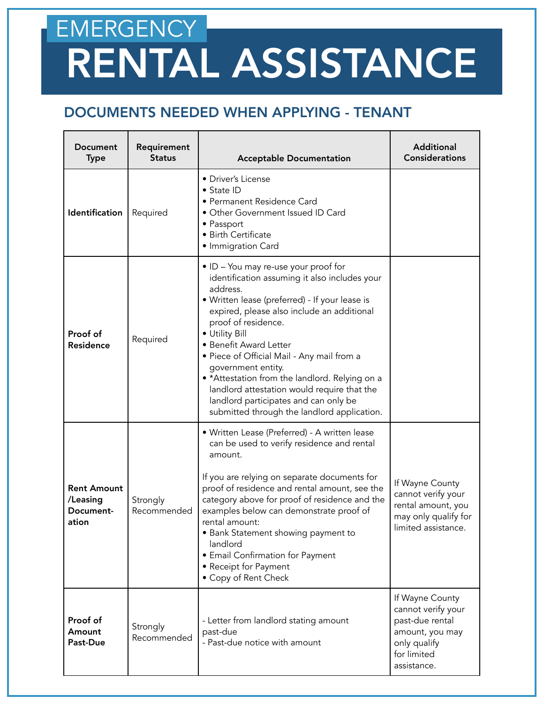## RENTAL ASSISTANCE EMERGENCY

## DOCUMENTS NEEDED WHEN APPLYING - TENANT

| <b>Document</b><br><b>Type</b>                       | Requirement<br><b>Status</b> | <b>Acceptable Documentation</b>                                                                                                                                                                                                                                                                                                                                                                                                                                                                                                   | <b>Additional</b><br><b>Considerations</b>                                                                                |
|------------------------------------------------------|------------------------------|-----------------------------------------------------------------------------------------------------------------------------------------------------------------------------------------------------------------------------------------------------------------------------------------------------------------------------------------------------------------------------------------------------------------------------------------------------------------------------------------------------------------------------------|---------------------------------------------------------------------------------------------------------------------------|
| Identification                                       | Required                     | • Driver's License<br>• State ID<br>• Permanent Residence Card<br>· Other Government Issued ID Card<br>• Passport<br>· Birth Certificate<br>• Immigration Card                                                                                                                                                                                                                                                                                                                                                                    |                                                                                                                           |
| Proof of<br>Residence                                | Required                     | • ID – You may re-use your proof for<br>identification assuming it also includes your<br>address.<br>• Written lease (preferred) - If your lease is<br>expired, please also include an additional<br>proof of residence.<br>· Utility Bill<br>• Benefit Award Letter<br>· Piece of Official Mail - Any mail from a<br>government entity.<br>• *Attestation from the landlord. Relying on a<br>landlord attestation would require that the<br>landlord participates and can only be<br>submitted through the landlord application. |                                                                                                                           |
| <b>Rent Amount</b><br>/Leasing<br>Document-<br>ation | Strongly<br>Recommended      | • Written Lease (Preferred) - A written lease<br>can be used to verify residence and rental<br>amount.<br>If you are relying on separate documents for<br>proof of residence and rental amount, see the<br>category above for proof of residence and the<br>examples below can demonstrate proof of<br>rental amount:<br>• Bank Statement showing payment to<br>landlord<br>• Email Confirmation for Payment<br>• Receipt for Payment<br>• Copy of Rent Check                                                                     | If Wayne County<br>cannot verify your<br>rental amount, you<br>may only qualify for<br>limited assistance.                |
| Proof of<br>Amount<br>Past-Due                       | Strongly<br>Recommended      | - Letter from landlord stating amount<br>past-due<br>- Past-due notice with amount                                                                                                                                                                                                                                                                                                                                                                                                                                                | If Wayne County<br>cannot verify your<br>past-due rental<br>amount, you may<br>only qualify<br>for limited<br>assistance. |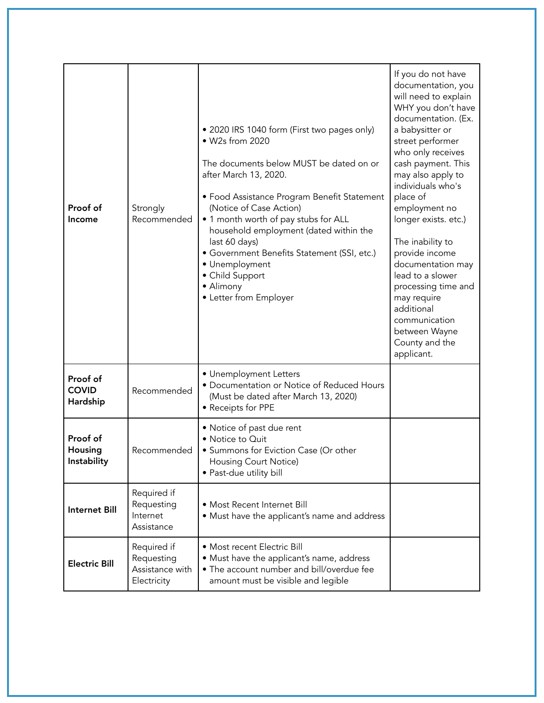| Proof of<br>Income                        | Strongly<br>Recommended                                     | • 2020 IRS 1040 form (First two pages only)<br>• W2s from 2020<br>The documents below MUST be dated on or<br>after March 13, 2020.<br>• Food Assistance Program Benefit Statement<br>(Notice of Case Action)<br>• 1 month worth of pay stubs for ALL<br>household employment (dated within the<br>last 60 days)<br>· Government Benefits Statement (SSI, etc.)<br>• Unemployment<br>• Child Support<br>· Alimony<br>• Letter from Employer | If you do not have<br>documentation, you<br>will need to explain<br>WHY you don't have<br>documentation. (Ex.<br>a babysitter or<br>street performer<br>who only receives<br>cash payment. This<br>may also apply to<br>individuals who's<br>place of<br>employment no<br>longer exists. etc.)<br>The inability to<br>provide income<br>documentation may<br>lead to a slower<br>processing time and<br>may require<br>additional<br>communication<br>between Wayne<br>County and the<br>applicant. |
|-------------------------------------------|-------------------------------------------------------------|--------------------------------------------------------------------------------------------------------------------------------------------------------------------------------------------------------------------------------------------------------------------------------------------------------------------------------------------------------------------------------------------------------------------------------------------|-----------------------------------------------------------------------------------------------------------------------------------------------------------------------------------------------------------------------------------------------------------------------------------------------------------------------------------------------------------------------------------------------------------------------------------------------------------------------------------------------------|
| Proof of<br><b>COVID</b><br>Hardship      | Recommended                                                 | • Unemployment Letters<br>• Documentation or Notice of Reduced Hours<br>(Must be dated after March 13, 2020)<br>• Receipts for PPE                                                                                                                                                                                                                                                                                                         |                                                                                                                                                                                                                                                                                                                                                                                                                                                                                                     |
| Proof of<br>Housing<br><b>Instability</b> | Recommended                                                 | • Notice of past due rent<br>• Notice to Quit<br>• Summons for Eviction Case (Or other<br>Housing Court Notice)<br>• Past-due utility bill                                                                                                                                                                                                                                                                                                 |                                                                                                                                                                                                                                                                                                                                                                                                                                                                                                     |
| <b>Internet Bill</b>                      | Required if<br>Requesting<br>Internet<br>Assistance         | • Most Recent Internet Bill<br>• Must have the applicant's name and address                                                                                                                                                                                                                                                                                                                                                                |                                                                                                                                                                                                                                                                                                                                                                                                                                                                                                     |
| <b>Electric Bill</b>                      | Required if<br>Requesting<br>Assistance with<br>Electricity | • Most recent Electric Bill<br>• Must have the applicant's name, address<br>• The account number and bill/overdue fee<br>amount must be visible and legible                                                                                                                                                                                                                                                                                |                                                                                                                                                                                                                                                                                                                                                                                                                                                                                                     |